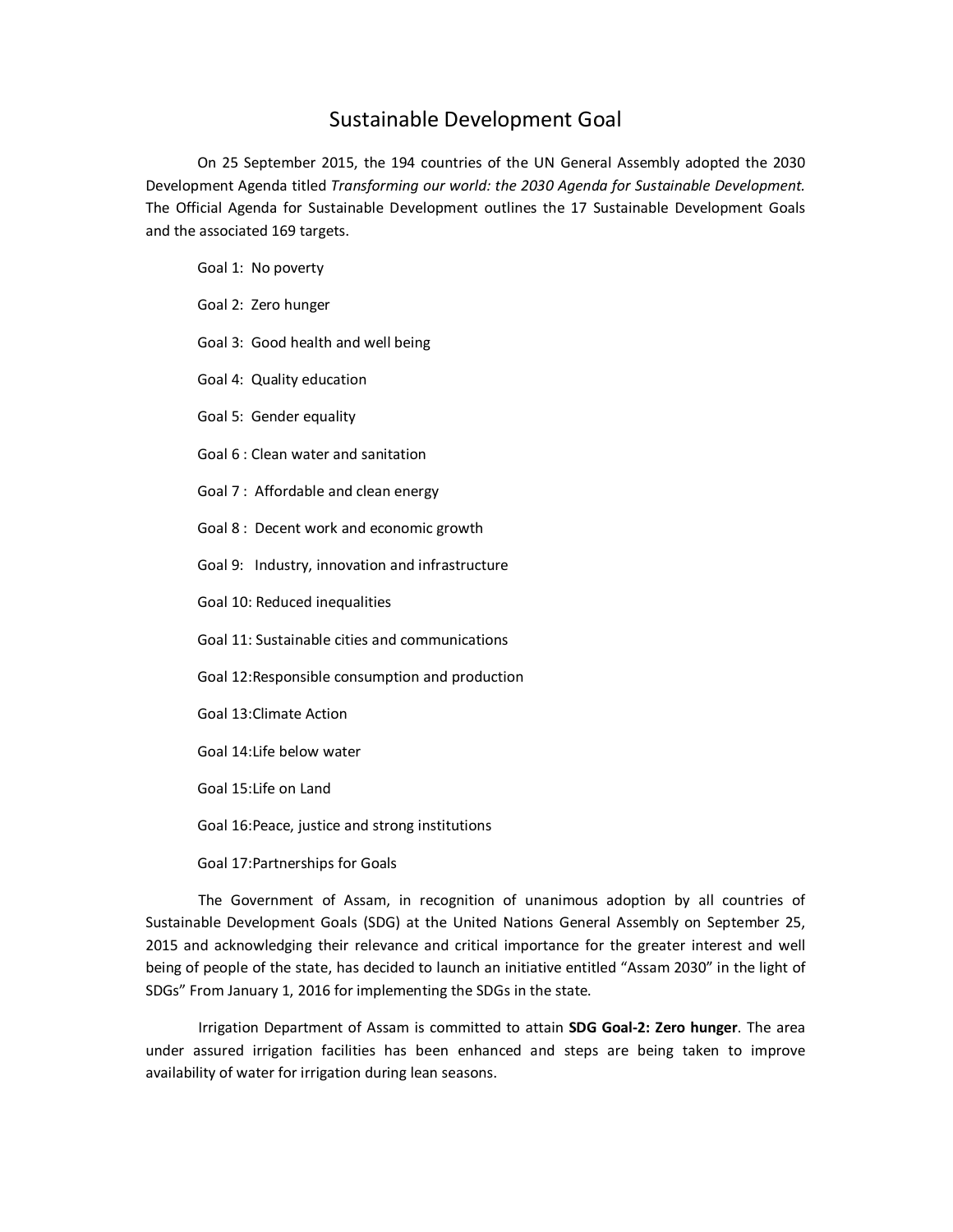## Sustainable Development Goal

On 25 September 2015, the 194 countries of the UN General Assembly adopted the 2030 Development Agenda titled *Transforming our world: the 2030 Agenda for Sustainable Development.* The Official Agenda for Sustainable Development outlines the 17 Sustainable Development Goals and the associated 169 targets.

Goal 1: No poverty

Goal 2: Zero hunger

Goal 3: Good health and well being

Goal 4: Quality education

Goal 5: Gender equality

Goal 6 : Clean water and sanitation

Goal 7 : Affordable and clean energy

Goal 8 : Decent work and economic growth

Goal 9: Industry, innovation and infrastructure

Goal 10: Reduced inequalities

Goal 11: Sustainable cities and communications

Goal 12:Responsible consumption and production

Goal 13:Climate Action

Goal 14:Life below water

Goal 15:Life on Land

Goal 16:Peace, justice and strong institutions

Goal 17:Partnerships for Goals

 The Government of Assam, in recognition of unanimous adoption by all countries of Sustainable Development Goals (SDG) at the United Nations General Assembly on September 25, 2015 and acknowledging their relevance and critical importance for the greater interest and well being of people of the state, has decided to launch an initiative entitled "Assam 2030" in the light of SDGs" From January 1, 2016 for implementing the SDGs in the state.

 Irrigation Department of Assam is committed to attain **SDG Goal-2: Zero hunger**. The area under assured irrigation facilities has been enhanced and steps are being taken to improve availability of water for irrigation during lean seasons.